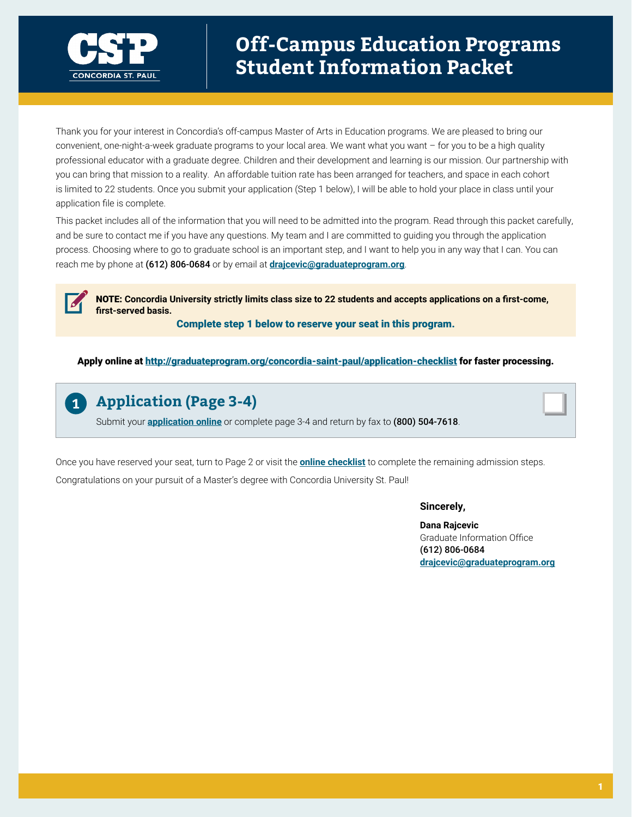

Thank you for your interest in Concordia's off-campus Master of Arts in Education programs. We are pleased to bring our convenient, one-night-a-week graduate programs to your local area. We want what you want – for you to be a high quality professional educator with a graduate degree. Children and their development and learning is our mission. Our partnership with you can bring that mission to a reality. An affordable tuition rate has been arranged for teachers, and space in each cohort is limited to 22 students. Once you submit your application (Step 1 below), I will be able to hold your place in class until your application file is complete.

This packet includes all of the information that you will need to be admitted into the program. Read through this packet carefully, and be sure to contact me if you have any questions. My team and I are committed to guiding you through the application process. Choosing where to go to graduate school is an important step, and I want to help you in any way that I can. You can reach me by phone at (612) 806-0684 or by email at **drajcevic[@graduateprogram.org](mailto:drajcevic%40graduateprogram.org?subject=)**.

NOTE: **Concordia University strictly limits class size to 22 students and accepts applications on a first-come, first-served basis.** 

Complete step 1 below to reserve your seat in this program.

Apply online at<http://graduateprogram.org/concordia-saint-paul/application-checklist>for faster processing.



## **Application (Page 3-4)**

Submit your **[application online](http://graduateprogram.org/concordia-saint-paul/application-checklist)** or complete page 3-4 and return by fax to (800) 504-7618.

Once you have reserved your seat, turn to Page 2 or visit the **[online checklist](http://graduateprogram.org/concordia-saint-paul/application-checklist)** to complete the remaining admission steps. Congratulations on your pursuit of a Master's degree with Concordia University St. Paul!

#### **Sincerely,**

**Dana Rajcevic** Graduate Information Office (612) 806-0684 **drajcevic[@graduateprogram.org](mailto:drajcevic%40graduateprogram.org?subject=)**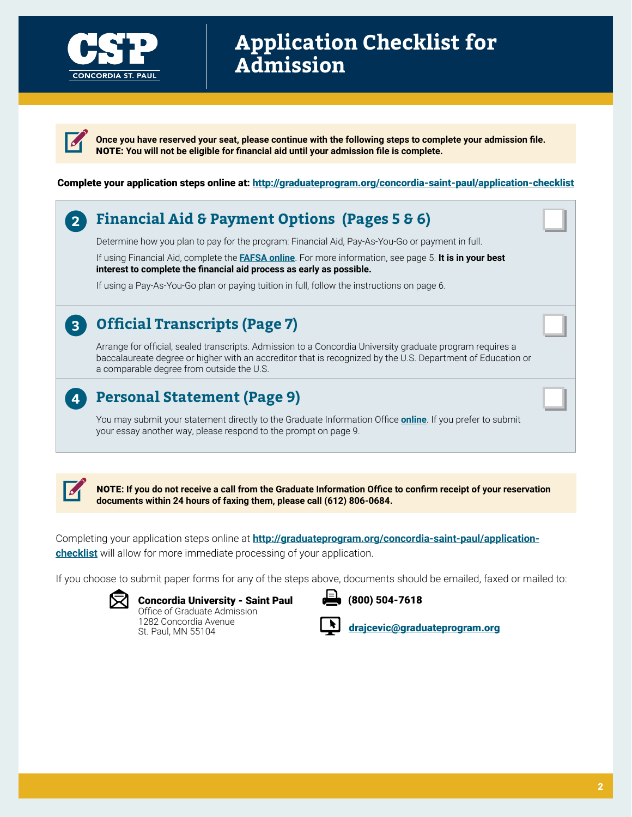

# **Application Checklist for Admission**

**Once you have reserved your seat, please continue with the following steps to complete your admission file.**  NOTE: **You will not be eligible for financial aid until your admission file is complete.** 

#### Complete your application steps online at: <http://graduateprogram.org/concordia-saint-paul/application-checklist>

#### **Financial Aid & Payment Options (Pages 5 & 6) 2**

Determine how you plan to pay for the program: Financial Aid, Pay-As-You-Go or payment in full.

If using Financial Aid, complete the **[FAFSA online](www.fafsa.ed.gov)**. For more information, see page 5. **It is in your best interest to complete the financial aid process as early as possible.** 

If using a Pay-As-You-Go plan or paying tuition in full, follow the instructions on page 6.

## **Official Transcripts (Page 7)**

Arrange for official, sealed transcripts. Admission to a Concordia University graduate program requires a baccalaureate degree or higher with an accreditor that is recognized by the U.S. Department of Education or a comparable degree from outside the U.S.

## **Personal Statement (Page 9)**

You may submit your statement directly to the Graduate Information Office **[online](http://graduateprogram.org/concordia-saint-paul/application-checklist)**. If you prefer to submit your essay another way, please respond to the prompt on page 9.



**3**

**4**

NOTE**: If you do not receive a call from the Graduate Information Office to confirm receipt of your reservation documents within 24 hours of faxing them, please call (612) 806-0684.**

Completing your application steps online at **[http://graduateprogram.org/concordia-saint-paul/application](http://graduateprogram.org/concordia-saint-paul/application-checklist)[checklist](http://graduateprogram.org/concordia-saint-paul/application-checklist)** will allow for more immediate processing of your application.

If you choose to submit paper forms for any of the steps above, documents should be emailed, faxed or mailed to:



Concordia University - Saint Paul Office of Graduate Admission 1282 Concordia Avenue

St. Paul, MN 55104

(800) 504-7618



drajcevi[c@graduateprogram.org](mailto:drajcevic%40graduateprogram.org?subject=)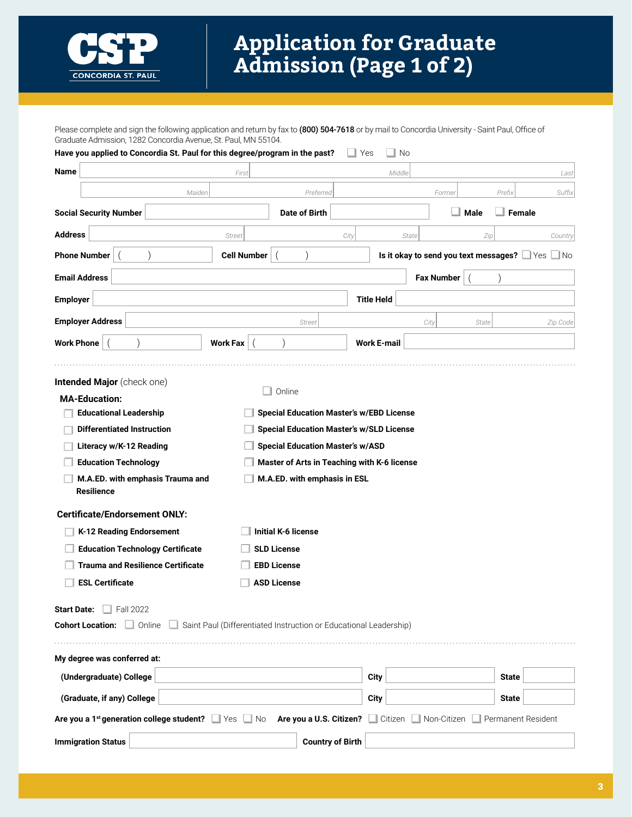

# **Application for Graduate Admission (Page 1 of 2)**

Please complete and sign the following application and return by fax to (800) 504-7618 or by mail to Concordia University - Saint Paul, Office of Graduate Admission, 1282 Concordia Avenue, St. Paul, MN 55104.

| Have you applied to Concordia St. Paul for this degree/program in the past?                                                                                                                                                                                                                                                                                                                                                             |                                                                                                        |                                                                                                                                                                                                                              | Yes                | No      |                                       |       |                    |             |
|-----------------------------------------------------------------------------------------------------------------------------------------------------------------------------------------------------------------------------------------------------------------------------------------------------------------------------------------------------------------------------------------------------------------------------------------|--------------------------------------------------------------------------------------------------------|------------------------------------------------------------------------------------------------------------------------------------------------------------------------------------------------------------------------------|--------------------|---------|---------------------------------------|-------|--------------------|-------------|
| Name                                                                                                                                                                                                                                                                                                                                                                                                                                    | First                                                                                                  |                                                                                                                                                                                                                              |                    | Middle  |                                       |       |                    | Last        |
| Maiden                                                                                                                                                                                                                                                                                                                                                                                                                                  |                                                                                                        | Preferred                                                                                                                                                                                                                    |                    |         | Former                                |       | Prefix             | Suffix      |
| <b>Social Security Number</b>                                                                                                                                                                                                                                                                                                                                                                                                           |                                                                                                        | <b>Date of Birth</b>                                                                                                                                                                                                         |                    |         |                                       | Male  | Female             |             |
| <b>Address</b>                                                                                                                                                                                                                                                                                                                                                                                                                          | <b>Street</b>                                                                                          |                                                                                                                                                                                                                              | City               | State   |                                       | Zip   |                    | Country     |
| <b>Phone Number</b>                                                                                                                                                                                                                                                                                                                                                                                                                     | <b>Cell Number</b>                                                                                     |                                                                                                                                                                                                                              |                    |         | Is it okay to send you text messages? |       |                    | Yes<br>⊿ No |
| <b>Email Address</b>                                                                                                                                                                                                                                                                                                                                                                                                                    |                                                                                                        |                                                                                                                                                                                                                              |                    |         | <b>Fax Number</b>                     |       |                    |             |
| <b>Employer</b>                                                                                                                                                                                                                                                                                                                                                                                                                         |                                                                                                        |                                                                                                                                                                                                                              | <b>Title Held</b>  |         |                                       |       |                    |             |
| <b>Employer Address</b>                                                                                                                                                                                                                                                                                                                                                                                                                 |                                                                                                        | <b>Street</b>                                                                                                                                                                                                                |                    |         | City                                  | State |                    | Zip Code    |
| <b>Work Phone</b>                                                                                                                                                                                                                                                                                                                                                                                                                       | <b>Work Fax</b>                                                                                        |                                                                                                                                                                                                                              | <b>Work E-mail</b> |         |                                       |       |                    |             |
| <b>Intended Major</b> (check one)<br><b>MA-Education:</b><br><b>Educational Leadership</b><br><b>Differentiated Instruction</b><br>Literacy w/K-12 Reading<br><b>Education Technology</b><br>M.A.ED. with emphasis Trauma and<br><b>Resilience</b><br><b>Certificate/Endorsement ONLY:</b><br>K-12 Reading Endorsement<br><b>Education Technology Certificate</b><br><b>Trauma and Resilience Certificate</b><br><b>ESL Certificate</b> | Online<br><b>Initial K-6 license</b><br><b>SLD License</b><br><b>EBD License</b><br><b>ASD License</b> | <b>Special Education Master's w/EBD License</b><br><b>Special Education Master's w/SLD License</b><br><b>Special Education Master's w/ASD</b><br>Master of Arts in Teaching with K-6 license<br>M.A.ED. with emphasis in ESL |                    |         |                                       |       |                    |             |
| $\Box$ Fall 2022<br><b>Start Date:</b><br><b>Cohort Location: Online</b>                                                                                                                                                                                                                                                                                                                                                                | Saint Paul (Differentiated Instruction or Educational Leadership)                                      |                                                                                                                                                                                                                              |                    |         |                                       |       |                    |             |
| My degree was conferred at:                                                                                                                                                                                                                                                                                                                                                                                                             |                                                                                                        |                                                                                                                                                                                                                              |                    |         |                                       |       |                    |             |
| (Undergraduate) College                                                                                                                                                                                                                                                                                                                                                                                                                 |                                                                                                        |                                                                                                                                                                                                                              | City               |         |                                       |       | <b>State</b>       |             |
| (Graduate, if any) College                                                                                                                                                                                                                                                                                                                                                                                                              |                                                                                                        |                                                                                                                                                                                                                              | City               |         |                                       |       | <b>State</b>       |             |
| Are you a 1 <sup>st</sup> generation college student?                                                                                                                                                                                                                                                                                                                                                                                   | ∐ Yes<br>No                                                                                            | Are you a U.S. Citizen?                                                                                                                                                                                                      |                    | Citizen | Non-Citizen                           |       | Permanent Resident |             |
| <b>Immigration Status</b>                                                                                                                                                                                                                                                                                                                                                                                                               |                                                                                                        | <b>Country of Birth</b>                                                                                                                                                                                                      |                    |         |                                       |       |                    |             |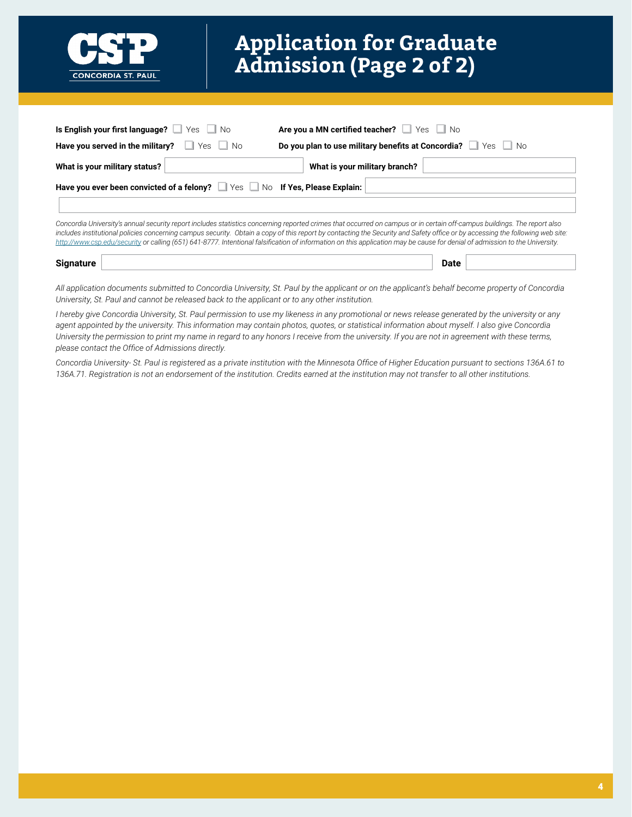

# **Application for Graduate Admission (Page 2 of 2)**

| Is English your first language? $\Box$ Yes $\Box$ No                     | Are you a MN certified teacher? Ves No                    |
|--------------------------------------------------------------------------|-----------------------------------------------------------|
| <b>Have you served in the military?</b> $\Box$ Yes $\Box$ No             | Do you plan to use military benefits at Concordia? Ves No |
| What is your military status?                                            | What is your military branch?                             |
| Have you ever been convicted of a felony? Ves No If Yes, Please Explain: |                                                           |
|                                                                          |                                                           |

ia University's annual security report includes statistics concerning reported crimes that occurred on campus or in certain off-campus buil *includes institutional policies concerning campus security. Obtain a copy of this report by contacting the Security and Safety office or by accessing the following web site: <http://www.csp.edu/security>or calling (651) 641-8777. Intentional falsification of information on this application may be cause for denial of admission to the University.*

| Sin.<br>$- - -$<br>rc |  |  |
|-----------------------|--|--|
|                       |  |  |

*All application documents submitted to Concordia University, St. Paul by the applicant or on the applicant's behalf become property of Concordia University, St. Paul and cannot be released back to the applicant or to any other institution.*

*I hereby give Concordia University, St. Paul permission to use my likeness in any promotional or news release generated by the university or any agent appointed by the university. This information may contain photos, quotes, or statistical information about myself. I also give Concordia University the permission to print my name in regard to any honors I receive from the university. If you are not in agreement with these terms, please contact the Office of Admissions directly.* 

Concordia University- St. Paul is registered as a private institution with the Minnesota Office of Higher Education pursuant to sections 136A.61 to *136A.71. Registration is not an endorsement of the institution. Credits earned at the institution may not transfer to all other institutions.*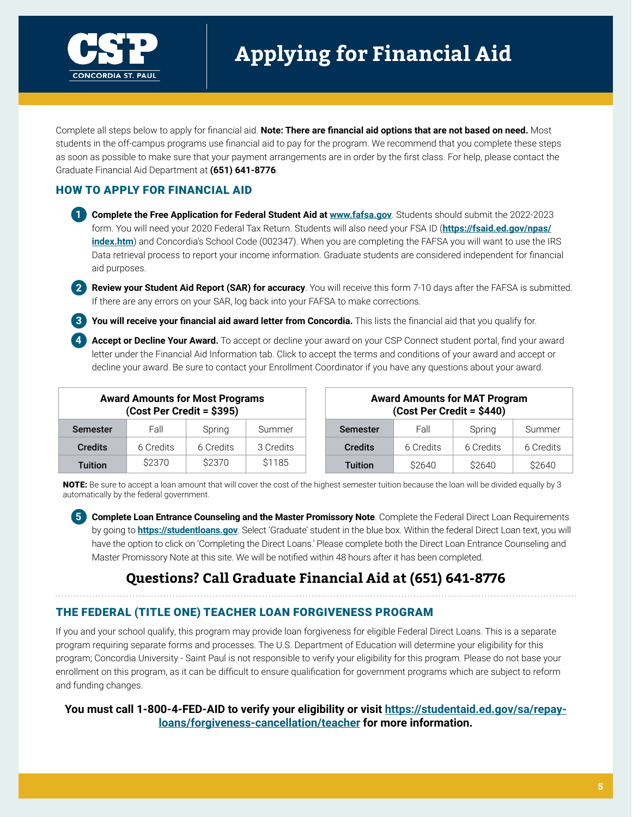

# **Applying for Financial Aid**

Complete all steps below to apply for financial aid. **Note: There are financial aid options that are not based on need.** Most students in the off-campus programs use financial aid to pay for the program. We recommend that you complete these steps as soon as possible to make sure that your payment arrangements are in order by the first class. For help, please contact the Graduate Financial Aid Department at **(651) 641-8776**.

#### HOW TO APPLY FOR FINANCIAL AID

**1 Complete the Free Application for Federal Student Aid at <b><www.fafsa.gov>**. Students should submit the 2022-2023 form. You will need your 2020 Federal Tax Return. Students will also need your FSA ID (**[https://fsaid.ed.gov/npas/](https://fsaid.ed.gov/npas/index.htm) [index.htm](https://fsaid.ed.gov/npas/index.htm)**) and Concordia's School Code (002347). When you are completing the FAFSA you will want to use the IRS Data retrieval process to report your income information. Graduate students are considered independent for financial aid purposes.

**2 Review your Student Aid Report (SAR) for accuracy**. You will receive this form 7-10 days after the FAFSA is submitted. If there are any errors on your SAR, log back into your FAFSA to make corrections.

**3 You will receive your financial aid award letter from Concordia.** This lists the financial aid that you qualify for.

**4 Accept or Decline Your Award.** To accept or decline your award on your CSP Connect student portal, find your award letter under the Financial Aid Information tab. Click to accept the terms and conditions of your award and accept or decline your award. Be sure to contact your Enrollment Coordinator if you have any questions about your award.

| <b>Award Amounts for Most Programs</b><br>(Cost Per Credit = \$395) |           |           |           | <b>Award Amounts for MAT Program</b><br>(Cost Per Credit = \$440) |           |           |           |
|---------------------------------------------------------------------|-----------|-----------|-----------|-------------------------------------------------------------------|-----------|-----------|-----------|
| <b>Semester</b>                                                     | Fall      | Spring    | Summer    | <b>Semester</b>                                                   | Fall      | Spring    | Summer    |
| <b>Credits</b>                                                      | 6 Credits | 6 Credits | 3 Credits | <b>Credits</b>                                                    | 6 Credits | 6 Credits | 6 Credits |
| <b>Tuition</b>                                                      | \$2370    | \$2370    | \$1185    | <b>Tuition</b>                                                    | \$2640    | \$2640    | \$2640    |

NOTE: Be sure to accept a loan amount that will cover the cost of the highest semester tuition because the loan will be divided equally by 3 automatically by the federal government.

**5 Complete Loan Entrance Counseling and the Master Promissory Note**. Complete the Federal Direct Loan Requirements by going to **<https://studentloans.gov>**. Select 'Graduate' student in the blue box. Within the federal Direct Loan text, you will have the option to click on 'Completing the Direct Loans.' Please complete both the Direct Loan Entrance Counseling and Master Promissory Note at this site. We will be notified within 48 hours after it has been completed.

## **Questions? Call Graduate Financial Aid at (651) 641-8776**

#### THE FEDERAL (TITLE ONE) TEACHER LOAN FORGIVENESS PROGRAM

If you and your school qualify, this program may provide loan forgiveness for eligible Federal Direct Loans. This is a separate program requiring separate forms and processes. The U.S. Department of Education will determine your eligibility for this program; Concordia University - Saint Paul is not responsible to verify your eligibility for this program. Please do not base your enrollment on this program, as it can be difficult to ensure qualification for government programs which are subject to reform and funding changes.

#### **You must call 1-800-4-FED-AID to verify your eligibility or visit [https://studentaid.ed.gov/sa/repay](https://studentaid.ed.gov/sa/repay-loans/forgiveness-cancellation/teacher)[loans/forgiveness-cancellation/teacher](https://studentaid.ed.gov/sa/repay-loans/forgiveness-cancellation/teacher) for more information.**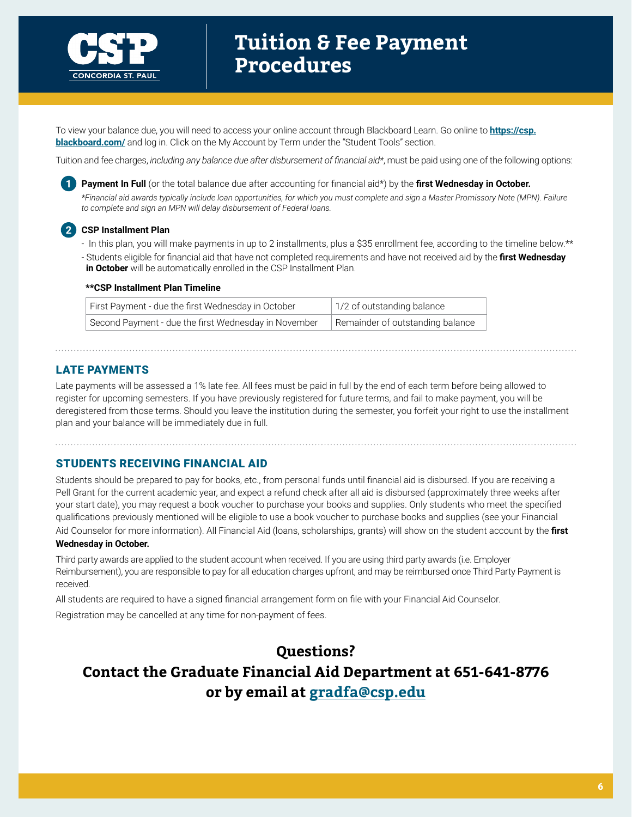

To view your balance due, you will need to access your online account through Blackboard Learn. Go online to **[https://csp.](https://csp.blackboard.com/) [blackboard.com/](https://csp.blackboard.com/)** and log in. Click on the My Account by Term under the "Student Tools" section.

Tuition and fee charges, *including any balance due after disbursement of financial aid\**, must be paid using one of the following options:



**1 Payment In Full** (or the total balance due after accounting for financial aid\*) by the **first Wednesday in October.** *\*Financial aid awards typically include loan opportunities, for which you must complete and sign a Master Promissory Note (MPN). Failure to complete and sign an MPN will delay disbursement of Federal loans.*

#### **2 CSP Installment Plan**

- In this plan, you will make payments in up to 2 installments, plus a \$35 enrollment fee, according to the timeline below.\*\*
- Students eligible for financial aid that have not completed requirements and have not received aid by the **first Wednesday in October** will be automatically enrolled in the CSP Installment Plan.

#### **\*\*CSP Installment Plan Timeline**

| First Payment - due the first Wednesday in October   | 1/2 of outstanding balance       |
|------------------------------------------------------|----------------------------------|
| Second Payment - due the first Wednesday in November | Remainder of outstanding balance |

#### LATE PAYMENTS

Late payments will be assessed a 1% late fee. All fees must be paid in full by the end of each term before being allowed to register for upcoming semesters. If you have previously registered for future terms, and fail to make payment, you will be deregistered from those terms. Should you leave the institution during the semester, you forfeit your right to use the installment plan and your balance will be immediately due in full.

#### STUDENTS RECEIVING FINANCIAL AID

Students should be prepared to pay for books, etc., from personal funds until financial aid is disbursed. If you are receiving a Pell Grant for the current academic year, and expect a refund check after all aid is disbursed (approximately three weeks after your start date), you may request a book voucher to purchase your books and supplies. Only students who meet the specified qualifications previously mentioned will be eligible to use a book voucher to purchase books and supplies (see your Financial Aid Counselor for more information). All Financial Aid (loans, scholarships, grants) will show on the student account by the **first** 

#### **Wednesday in October.**

Third party awards are applied to the student account when received. If you are using third party awards (i.e. Employer Reimbursement), you are responsible to pay for all education charges upfront, and may be reimbursed once Third Party Payment is received.

All students are required to have a signed financial arrangement form on file with your Financial Aid Counselor.

Registration may be cancelled at any time for non-payment of fees.

## **Questions? Contact the Graduate Financial Aid Department at 651-641-8776 or by email at [gradfa@csp.edu](mailto:gradfa%40csp.edu?subject=)**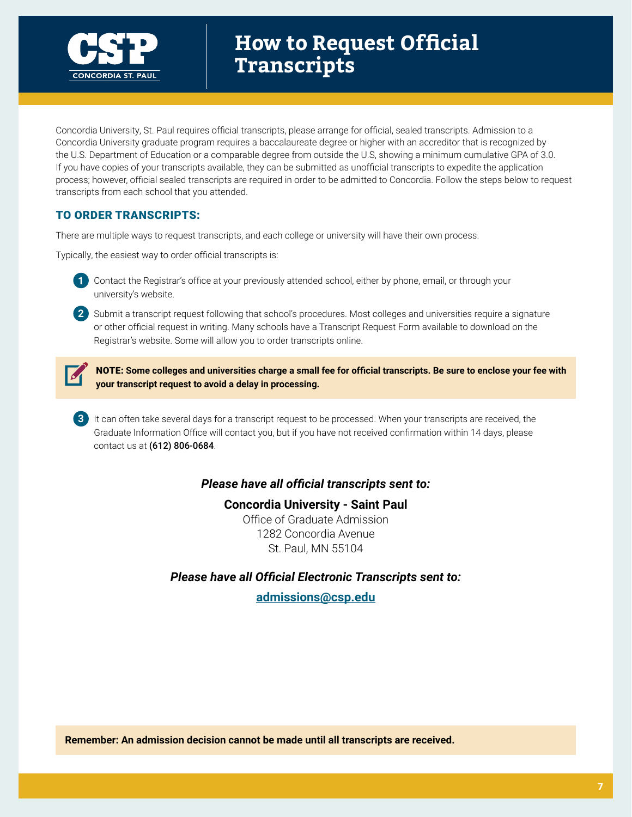

# **How to Request Official Transcripts**

Concordia University, St. Paul requires official transcripts, please arrange for official, sealed transcripts. Admission to a Concordia University graduate program requires a baccalaureate degree or higher with an accreditor that is recognized by the U.S. Department of Education or a comparable degree from outside the U.S, showing a minimum cumulative GPA of 3.0. If you have copies of your transcripts available, they can be submitted as unofficial transcripts to expedite the application process; however, official sealed transcripts are required in order to be admitted to Concordia. Follow the steps below to request transcripts from each school that you attended.

#### TO ORDER TRANSCRIPTS:

There are multiple ways to request transcripts, and each college or university will have their own process.

Typically, the easiest way to order official transcripts is:



**1** Contact the Registrar's office at your previously attended school, either by phone, email, or through your university's website.

**2** Submit a transcript request following that school's procedures. Most colleges and universities require a signature or other official request in writing. Many schools have a Transcript Request Form available to download on the Registrar's website. Some will allow you to order transcripts online.



NOTE: **Some colleges and universities charge a small fee for official transcripts. Be sure to enclose your fee with your transcript request to avoid a delay in processing.** 

**3** It can often take several days for a transcript request to be processed. When your transcripts are received, the Graduate Information Office will contact you, but if you have not received confirmation within 14 days, please contact us at (612) 806-0684.

#### *Please have all official transcripts sent to:*

#### **Concordia University - Saint Paul**

Office of Graduate Admission 1282 Concordia Avenue St. Paul, MN 55104

*Please have all Official Electronic Transcripts sent to:*

**[admissions@csp.edu](mailto:admissions%40csp.edu?subject=)**

**Remember: An admission decision cannot be made until all transcripts are received.**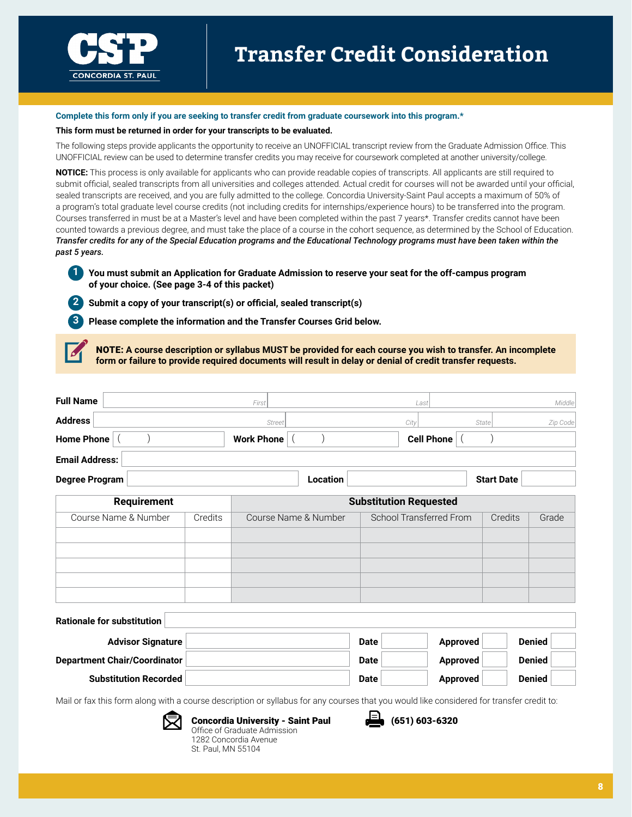

# **Transfer Credit Consideration**

#### **Complete this form only if you are seeking to transfer credit from graduate coursework into this program.\***

#### **This form must be returned in order for your transcripts to be evaluated.**

The following steps provide applicants the opportunity to receive an UNOFFICIAL transcript review from the Graduate Admission Office. This UNOFFICIAL review can be used to determine transfer credits you may receive for coursework completed at another university/college.

**NOTICE:** This process is only available for applicants who can provide readable copies of transcripts. All applicants are still required to submit official, sealed transcripts from all universities and colleges attended. Actual credit for courses will not be awarded until your official, sealed transcripts are received, and you are fully admitted to the college. Concordia University-Saint Paul accepts a maximum of 50% of a program's total graduate level course credits (not including credits for internships/experience hours) to be transferred into the program. Courses transferred in must be at a Master's level and have been completed within the past 7 years\*. Transfer credits cannot have been counted towards a previous degree, and must take the place of a course in the cohort sequence, as determined by the School of Education. *Transfer credits for any of the Special Education programs and the Educational Technology programs must have been taken within the past 5 years.*

**1 You must submit an Application for Graduate Admission to reserve your seat for the off-campus program of your choice. (See page 3-4 of this packet)** 

**2 Submit a copy of your transcript(s) or official, sealed transcript(s)**

**3 Please complete the information and the Transfer Courses Grid below.**

NOTE: **A course description or syllabus MUST be provided for each course you wish to transfer. An incomplete form or failure to provide required documents will result in delay or denial of credit transfer requests.** 

| <b>Full Name</b>                    |         | First                |             | Last                          | Middle            |  |
|-------------------------------------|---------|----------------------|-------------|-------------------------------|-------------------|--|
| <b>Address</b>                      |         | Street               |             | City                          | Zip Code<br>State |  |
| <b>Home Phone</b>                   |         | <b>Work Phone</b>    |             | <b>Cell Phone</b>             |                   |  |
| <b>Email Address:</b>               |         |                      |             |                               |                   |  |
| <b>Degree Program</b>               |         | Location             |             | <b>Start Date</b>             |                   |  |
| <b>Requirement</b>                  |         |                      |             | <b>Substitution Requested</b> |                   |  |
| Course Name & Number                | Credits | Course Name & Number |             | School Transferred From       | Credits<br>Grade  |  |
|                                     |         |                      |             |                               |                   |  |
|                                     |         |                      |             |                               |                   |  |
|                                     |         |                      |             |                               |                   |  |
|                                     |         |                      |             |                               |                   |  |
| <b>Rationale for substitution</b>   |         |                      |             |                               |                   |  |
| <b>Advisor Signature</b>            |         |                      | <b>Date</b> | <b>Approved</b>               | <b>Denied</b>     |  |
| <b>Department Chair/Coordinator</b> |         |                      | <b>Date</b> | <b>Approved</b>               | <b>Denied</b>     |  |
| <b>Substitution Recorded</b>        |         |                      | <b>Date</b> | <b>Approved</b>               | <b>Denied</b>     |  |



Concordia University - Saint Paul Office of Graduate Admission 1282 Concordia Avenue St. Paul, MN 55104

 $\big(651\big) 603 - 6320$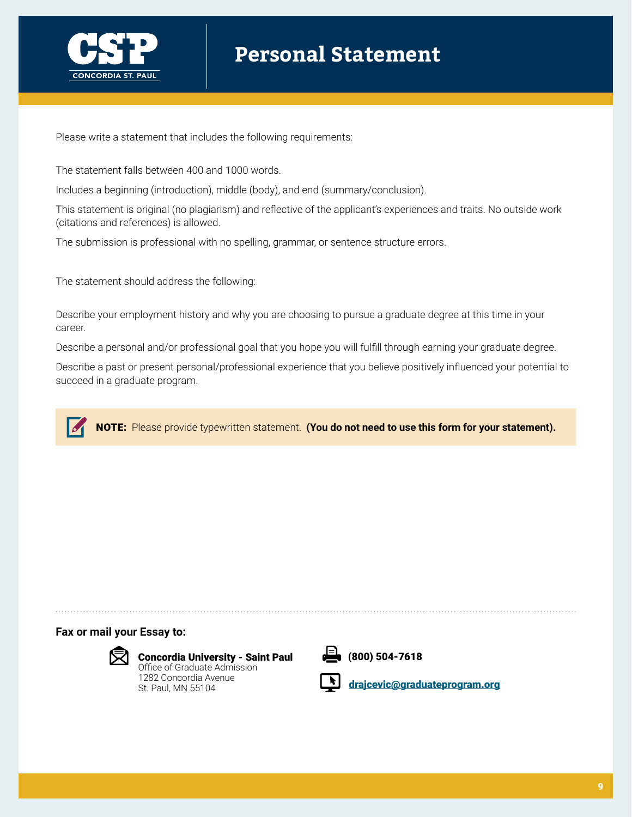

# **Personal Statement**

Please write a statement that includes the following requirements:

The statement falls between 400 and 1000 words.

Includes a beginning (introduction), middle (body), and end (summary/conclusion).

This statement is original (no plagiarism) and reflective of the applicant's experiences and traits. No outside work (citations and references) is allowed.

The submission is professional with no spelling, grammar, or sentence structure errors.

The statement should address the following:

Describe your employment history and why you are choosing to pursue a graduate degree at this time in your career.

Describe a personal and/or professional goal that you hope you will fulfill through earning your graduate degree.

Describe a past or present personal/professional experience that you believe positively influenced your potential to succeed in a graduate program.



**Fax or mail your Essay to:** 



Concordia University - Saint Paul Office of Graduate Admission 1282 Concordia Avenue St. Paul, MN 55104



(800) 504-7618

drajcevi[c@graduateprogram.org](mailto:drajcevic%40graduateprogram.org?subject=)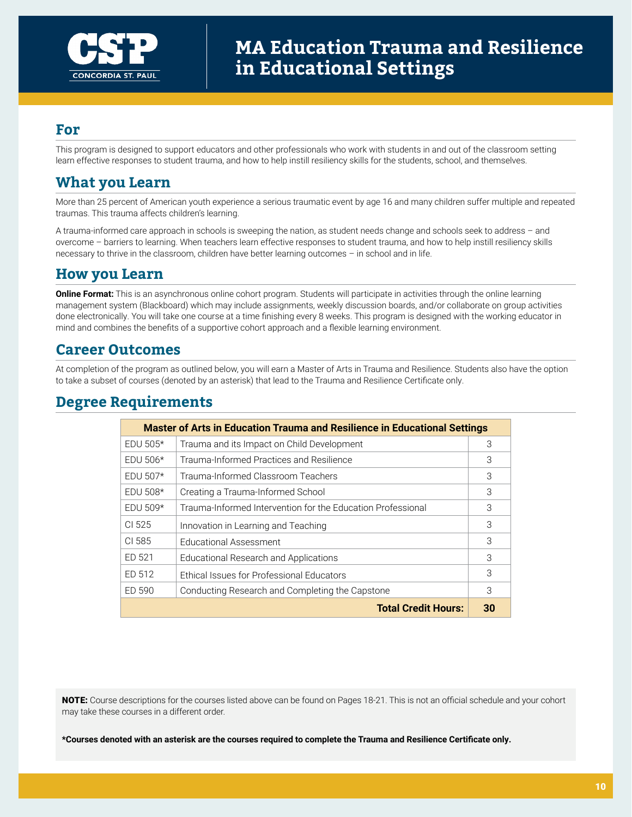

This program is designed to support educators and other professionals who work with students in and out of the classroom setting learn effective responses to student trauma, and how to help instill resiliency skills for the students, school, and themselves.

## **What you Learn**

More than 25 percent of American youth experience a serious traumatic event by age 16 and many children suffer multiple and repeated traumas. This trauma affects children's learning.

A trauma-informed care approach in schools is sweeping the nation, as student needs change and schools seek to address – and overcome – barriers to learning. When teachers learn effective responses to student trauma, and how to help instill resiliency skills necessary to thrive in the classroom, children have better learning outcomes – in school and in life.

### **How you Learn**

**Online Format:** This is an asynchronous online cohort program. Students will participate in activities through the online learning management system (Blackboard) which may include assignments, weekly discussion boards, and/or collaborate on group activities done electronically. You will take one course at a time finishing every 8 weeks. This program is designed with the working educator in mind and combines the benefits of a supportive cohort approach and a flexible learning environment.

### **Career Outcomes**

At completion of the program as outlined below, you will earn a Master of Arts in Trauma and Resilience. Students also have the option to take a subset of courses (denoted by an asterisk) that lead to the Trauma and Resilience Certificate only.

### **Degree Requirements**

| <b>Master of Arts in Education Trauma and Resilience in Educational Settings</b> |                                                             |    |  |  |  |
|----------------------------------------------------------------------------------|-------------------------------------------------------------|----|--|--|--|
| $EDU$ 505*                                                                       | Trauma and its Impact on Child Development                  | 3  |  |  |  |
| $EDU$ 506*                                                                       | Trauma-Informed Practices and Resilience                    | 3  |  |  |  |
| EDU 507 $*$                                                                      | Trauma-Informed Classroom Teachers                          | 3  |  |  |  |
| $EDU$ 508*                                                                       | Creating a Trauma-Informed School                           | 3  |  |  |  |
| $EDU$ 509*                                                                       | Trauma-Informed Intervention for the Education Professional | 3  |  |  |  |
| CI 525                                                                           | Innovation in Learning and Teaching                         | 3  |  |  |  |
| CI 585                                                                           | <b>Educational Assessment</b>                               | 3  |  |  |  |
| ED 521                                                                           | Educational Research and Applications                       | 3  |  |  |  |
| ED 512                                                                           | Ethical Issues for Professional Educators                   | 3  |  |  |  |
| ED 590                                                                           | Conducting Research and Completing the Capstone             | 3  |  |  |  |
|                                                                                  | <b>Total Credit Hours:</b>                                  | 30 |  |  |  |

NOTE: Course descriptions for the courses listed above can be found on Pages 18-21. This is not an official schedule and your cohort may take these courses in a different order.

**\*Courses denoted with an asterisk are the courses required to complete the Trauma and Resilience Certificate only.**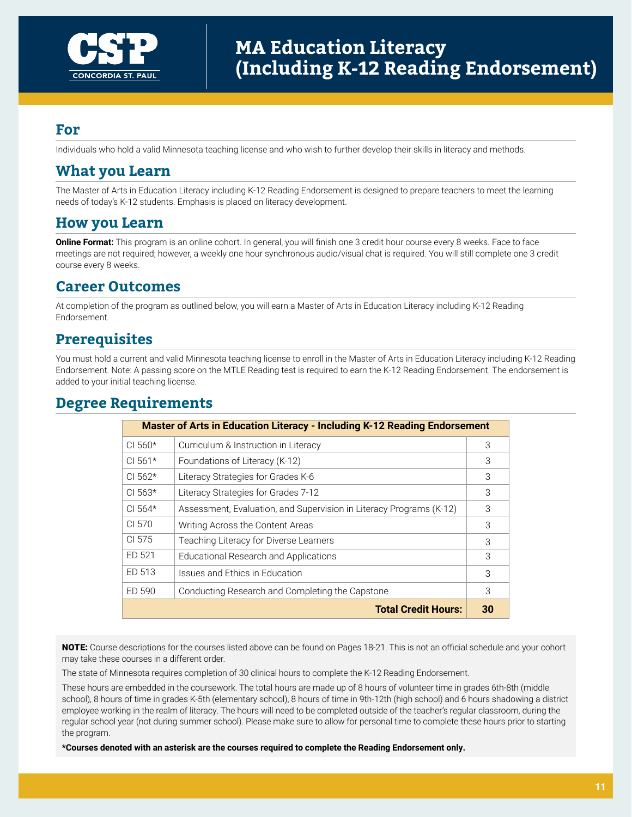

Individuals who hold a valid Minnesota teaching license and who wish to further develop their skills in literacy and methods.

### **What you Learn**

The Master of Arts in Education Literacy including K-12 Reading Endorsement is designed to prepare teachers to meet the learning needs of today's K-12 students. Emphasis is placed on literacy development.

#### **How you Learn**

**Online Format:** This program is an online cohort. In general, you will finish one 3 credit hour course every 8 weeks. Face to face meetings are not required; however, a weekly one hour synchronous audio/visual chat is required. You will still complete one 3 credit course every 8 weeks.

#### **Career Outcomes**

At completion of the program as outlined below, you will earn a Master of Arts in Education Literacy including K-12 Reading Endorsement.

## **Prerequisites**

You must hold a current and valid Minnesota teaching license to enroll in the Master of Arts in Education Literacy including K-12 Reading Endorsement. Note: A passing score on the MTLE Reading test is required to earn the K-12 Reading Endorsement. The endorsement is added to your initial teaching license.

#### **Degree Requirements**

|              | <b>Master of Arts in Education Literacy - Including K-12 Reading Endorsement</b> |    |
|--------------|----------------------------------------------------------------------------------|----|
| $CI$ 560 $*$ | Curriculum & Instruction in Literacy                                             | 3  |
| $CI 561*$    | Foundations of Literacy (K-12)                                                   | 3  |
| $CI 562*$    | Literacy Strategies for Grades K-6                                               | 3  |
| $CI 563*$    | Literacy Strategies for Grades 7-12                                              | 3  |
| $CI 564*$    | Assessment, Evaluation, and Supervision in Literacy Programs (K-12)              | 3  |
| CL 570       | Writing Across the Content Areas                                                 | 3  |
| CI 575       | Teaching Literacy for Diverse Learners                                           | 3  |
| ED 521       | Educational Research and Applications                                            | 3  |
| ED 513       | Issues and Ethics in Education                                                   | 3  |
| ED 590       | Conducting Research and Completing the Capstone                                  | 3  |
|              | <b>Total Credit Hours:</b>                                                       | 30 |

NOTE: Course descriptions for the courses listed above can be found on Pages 18-21. This is not an official schedule and your cohort may take these courses in a different order.

The state of Minnesota requires completion of 30 clinical hours to complete the K-12 Reading Endorsement.

These hours are embedded in the coursework. The total hours are made up of 8 hours of volunteer time in grades 6th-8th (middle school), 8 hours of time in grades K-5th (elementary school), 8 hours of time in 9th-12th (high school) and 6 hours shadowing a district employee working in the realm of literacy. The hours will need to be completed outside of the teacher's regular classroom, during the regular school year (not during summer school). Please make sure to allow for personal time to complete these hours prior to starting the program.

**\*Courses denoted with an asterisk are the courses required to complete the Reading Endorsement only.**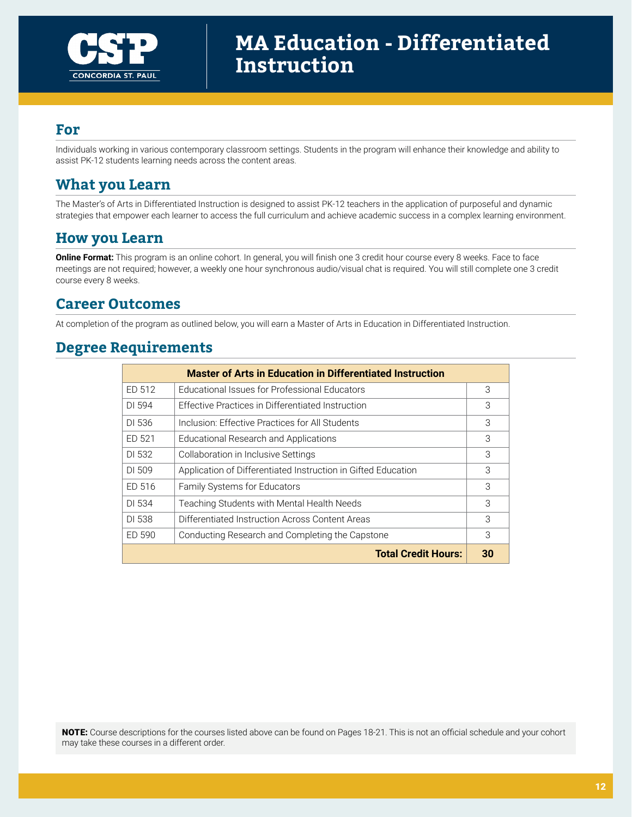

Individuals working in various contemporary classroom settings. Students in the program will enhance their knowledge and ability to assist PK-12 students learning needs across the content areas.

## **What you Learn**

The Master's of Arts in Differentiated Instruction is designed to assist PK-12 teachers in the application of purposeful and dynamic strategies that empower each learner to access the full curriculum and achieve academic success in a complex learning environment.

#### **How you Learn**

**Online Format:** This program is an online cohort. In general, you will finish one 3 credit hour course every 8 weeks. Face to face meetings are not required; however, a weekly one hour synchronous audio/visual chat is required. You will still complete one 3 credit course every 8 weeks.

### **Career Outcomes**

At completion of the program as outlined below, you will earn a Master of Arts in Education in Differentiated Instruction.

## **Degree Requirements**

|                                                           | <b>Master of Arts in Education in Differentiated Instruction</b> |    |
|-----------------------------------------------------------|------------------------------------------------------------------|----|
| ED 512                                                    | Educational Issues for Professional Educators                    | 3  |
| DI 594                                                    | Effective Practices in Differentiated Instruction                | 3  |
| DI 536                                                    | Inclusion: Effective Practices for All Students                  | 3  |
| ED 521                                                    | Educational Research and Applications                            | 3  |
| DI 532                                                    | Collaboration in Inclusive Settings                              | 3  |
| DI 509                                                    | Application of Differentiated Instruction in Gifted Education    |    |
| ED 516                                                    | <b>Family Systems for Educators</b>                              | 3  |
| DI 534                                                    | Teaching Students with Mental Health Needs                       | 3  |
| DI 538<br>Differentiated Instruction Across Content Areas |                                                                  | 3  |
| ED 590                                                    | Conducting Research and Completing the Capstone                  |    |
|                                                           | <b>Total Credit Hours:</b>                                       | 30 |

NOTE: Course descriptions for the courses listed above can be found on Pages 18-21. This is not an official schedule and your cohort may take these courses in a different order.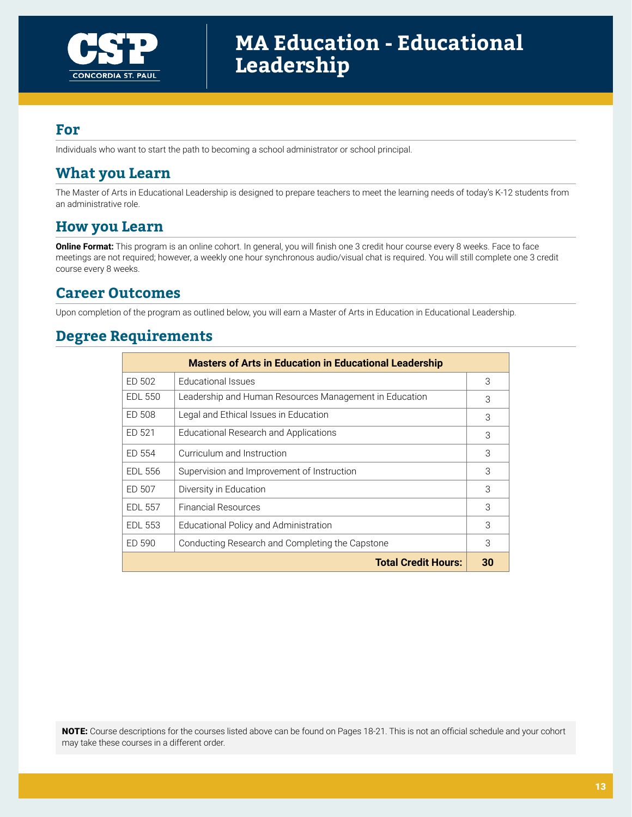

Individuals who want to start the path to becoming a school administrator or school principal.

### **What you Learn**

The Master of Arts in Educational Leadership is designed to prepare teachers to meet the learning needs of today's K-12 students from an administrative role.

#### **How you Learn**

**Online Format:** This program is an online cohort. In general, you will finish one 3 credit hour course every 8 weeks. Face to face meetings are not required; however, a weekly one hour synchronous audio/visual chat is required. You will still complete one 3 credit course every 8 weeks.

### **Career Outcomes**

Upon completion of the program as outlined below, you will earn a Master of Arts in Education in Educational Leadership.

## **Degree Requirements**

|                | <b>Masters of Arts in Education in Educational Leadership</b> |    |
|----------------|---------------------------------------------------------------|----|
| ED 502         | Educational Issues                                            | 3  |
| <b>EDL 550</b> | Leadership and Human Resources Management in Education        | 3  |
| ED 508         | Legal and Ethical Issues in Education                         | 3  |
| ED 521         | Educational Research and Applications                         | 3  |
| ED 554         | Curriculum and Instruction                                    | 3  |
| <b>EDL 556</b> | Supervision and Improvement of Instruction                    | 3  |
| ED 507         | Diversity in Education                                        | 3  |
| <b>EDL 557</b> | <b>Financial Resources</b>                                    | 3  |
| EDL 553        | Educational Policy and Administration                         | 3  |
| ED 590         | Conducting Research and Completing the Capstone               | 3  |
|                | <b>Total Credit Hours:</b>                                    | 30 |

NOTE: Course descriptions for the courses listed above can be found on Pages 18-21. This is not an official schedule and your cohort may take these courses in a different order.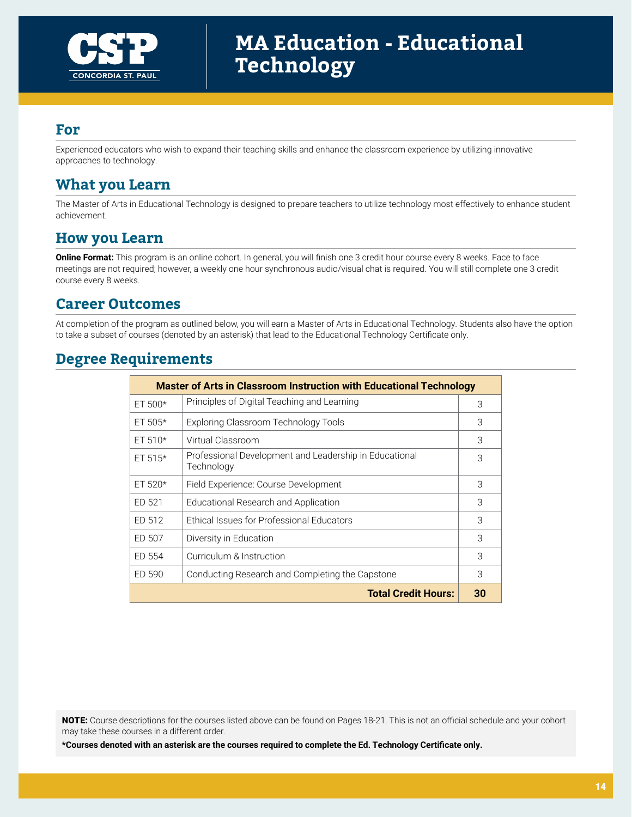

Experienced educators who wish to expand their teaching skills and enhance the classroom experience by utilizing innovative approaches to technology.

## **What you Learn**

The Master of Arts in Educational Technology is designed to prepare teachers to utilize technology most effectively to enhance student achievement.

### **How you Learn**

**Online Format:** This program is an online cohort. In general, you will finish one 3 credit hour course every 8 weeks. Face to face meetings are not required; however, a weekly one hour synchronous audio/visual chat is required. You will still complete one 3 credit course every 8 weeks.

#### **Career Outcomes**

At completion of the program as outlined below, you will earn a Master of Arts in Educational Technology. Students also have the option to take a subset of courses (denoted by an asterisk) that lead to the Educational Technology Certificate only.

## **Degree Requirements**

|            | <b>Master of Arts in Classroom Instruction with Educational Technology</b> |    |  |  |  |
|------------|----------------------------------------------------------------------------|----|--|--|--|
| $ET 500*$  | Principles of Digital Teaching and Learning                                | 3  |  |  |  |
| ET $505*$  | Exploring Classroom Technology Tools                                       | 3  |  |  |  |
| $ET 510*$  | Virtual Classroom                                                          | 3  |  |  |  |
| $ET 515*$  | Professional Development and Leadership in Educational<br>Technology       | 3  |  |  |  |
| ET 520 $*$ | Field Experience: Course Development                                       | 3  |  |  |  |
| ED 521     | Educational Research and Application                                       | 3  |  |  |  |
| ED 512     | Ethical Issues for Professional Educators                                  | 3  |  |  |  |
| ED 507     | Diversity in Education                                                     | 3  |  |  |  |
| ED 554     | Curriculum & Instruction                                                   | 3  |  |  |  |
| ED 590     | Conducting Research and Completing the Capstone                            | 3  |  |  |  |
|            | <b>Total Credit Hours:</b>                                                 | 30 |  |  |  |

NOTE: Course descriptions for the courses listed above can be found on Pages 18-21. This is not an official schedule and your cohort may take these courses in a different order.

**\*Courses denoted with an asterisk are the courses required to complete the Ed. Technology Certificate only.**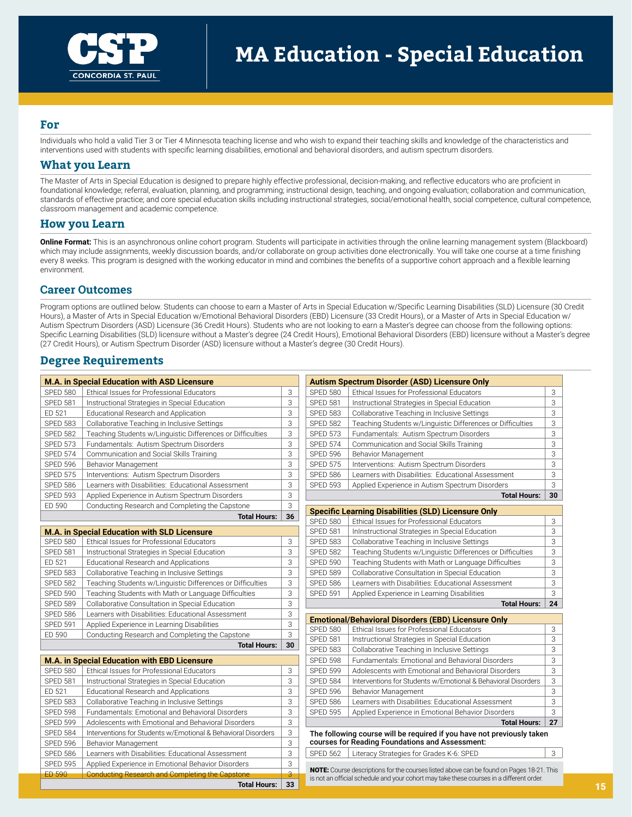

Individuals who hold a valid Tier 3 or Tier 4 Minnesota teaching license and who wish to expand their teaching skills and knowledge of the characteristics and interventions used with students with specific learning disabilities, emotional and behavioral disorders, and autism spectrum disorders.

#### **What you Learn**

The Master of Arts in Special Education is designed to prepare highly effective professional, decision-making, and reflective educators who are proficient in foundational knowledge; referral, evaluation, planning, and programming; instructional design, teaching, and ongoing evaluation; collaboration and communication, standards of effective practice; and core special education skills including instructional strategies, social/emotional health, social competence, cultural competence, classroom management and academic competence.

#### **How you Learn**

**Online Format:** This is an asynchronous online cohort program. Students will participate in activities through the online learning management system (Blackboard) which may include assignments, weekly discussion boards, and/or collaborate on group activities done electronically. You will take one course at a time finishing every 8 weeks. This program is designed with the working educator in mind and combines the benefits of a supportive cohort approach and a flexible learning environment.

#### **Career Outcomes**

Program options are outlined below. Students can choose to earn a Master of Arts in Special Education w/Specific Learning Disabilities (SLD) Licensure (30 Credit Hours), a Master of Arts in Special Education w/Emotional Behavioral Disorders (EBD) Licensure (33 Credit Hours), or a Master of Arts in Special Education w/ Autism Spectrum Disorders (ASD) Licensure (36 Credit Hours). Students who are not looking to earn a Master's degree can choose from the following options: Specific Learning Disabilities (SLD) licensure without a Master's degree (24 Credit Hours), Emotional Behavioral Disorders (EBD) licensure without a Master's degree (27 Credit Hours), or Autism Spectrum Disorder (ASD) licensure without a Master's degree (30 Credit Hours).

#### **Degree Requirements**

| <b>M.A. in Special Education with ASD Licensure</b> |                                                                                           |                         |                                    | <b>Autism Spectrum Disorder (ASD) Licensure Only</b>                                                                                                                                 |        |
|-----------------------------------------------------|-------------------------------------------------------------------------------------------|-------------------------|------------------------------------|--------------------------------------------------------------------------------------------------------------------------------------------------------------------------------------|--------|
| <b>SPED 580</b>                                     | Ethical Issues for Professional Educators                                                 | 3                       | <b>SPED 580</b>                    | Ethical Issues for Professional Educators                                                                                                                                            | 3      |
| <b>SPED 581</b>                                     | Instructional Strategies in Special Education                                             | 3                       | <b>SPED 581</b>                    | Instructional Strategies in Special Education                                                                                                                                        | 3      |
| ED 521                                              | Educational Research and Application                                                      | 3                       | <b>SPED 583</b>                    | Collaborative Teaching in Inclusive Settings                                                                                                                                         | 3      |
| <b>SPED 583</b>                                     | Collaborative Teaching in Inclusive Settings                                              | 3                       | <b>SPED 582</b>                    | Teaching Students w/Linguistic Differences or Difficulties                                                                                                                           | 3      |
| <b>SPED 582</b>                                     | Teaching Students w/Linguistic Differences or Difficulties                                | 3                       | <b>SPED 573</b>                    | Fundamentals: Autism Spectrum Disorders                                                                                                                                              | 3      |
| <b>SPED 573</b>                                     | Fundamentals: Autism Spectrum Disorders                                                   | 3                       | <b>SPED 574</b>                    | Communication and Social Skills Training                                                                                                                                             | 3      |
| <b>SPED 574</b>                                     | Communication and Social Skills Training                                                  | 3                       | <b>SPED 596</b>                    | Behavior Management                                                                                                                                                                  | 3      |
| <b>SPED 596</b>                                     | Behavior Management                                                                       | 3                       | <b>SPED 575</b>                    | Interventions: Autism Spectrum Disorders                                                                                                                                             | 3      |
| <b>SPED 575</b>                                     | Interventions: Autism Spectrum Disorders                                                  | 3                       | <b>SPED 586</b>                    | Learners with Disabilities: Educational Assessment                                                                                                                                   | 3      |
| <b>SPED 586</b>                                     | Learners with Disabilities: Educational Assessment                                        | 3                       | <b>SPED 593</b>                    | Applied Experience in Autism Spectrum Disorders                                                                                                                                      | 3      |
| <b>SPED 593</b>                                     | Applied Experience in Autism Spectrum Disorders                                           | 3                       |                                    | <b>Total Hours:</b>                                                                                                                                                                  | 30     |
| ED 590                                              | Conducting Research and Completing the Capstone                                           | 3                       |                                    |                                                                                                                                                                                      |        |
|                                                     | <b>Total Hours:</b>                                                                       | 36                      | <b>SPED 580</b>                    | <b>Specific Learning Disabilities (SLD) Licensure Only</b>                                                                                                                           |        |
|                                                     |                                                                                           |                         | <b>SPED 581</b>                    | Ethical Issues for Professional Educators                                                                                                                                            | 3<br>3 |
| <b>SPED 580</b>                                     | M.A. in Special Education with SLD Licensure<br>Ethical Issues for Professional Educators | 3                       | <b>SPED 583</b>                    | InInstructional Strategies in Special Education                                                                                                                                      | 3      |
| <b>SPED 581</b>                                     |                                                                                           |                         |                                    | Collaborative Teaching in Inclusive Settings                                                                                                                                         |        |
| ED 521                                              | Instructional Strategies in Special Education                                             | 3<br>3                  | <b>SPED 582</b><br><b>SPED 590</b> | Teaching Students w/Linguistic Differences or Difficulties                                                                                                                           | 3<br>3 |
|                                                     | Educational Research and Applications                                                     | 3                       |                                    | Teaching Students with Math or Language Difficulties                                                                                                                                 |        |
| <b>SPED 583</b>                                     | Collaborative Teaching in Inclusive Settings                                              |                         | <b>SPED 589</b>                    | Collaborative Consultation in Special Education                                                                                                                                      | 3      |
| <b>SPED 582</b>                                     | Teaching Students w/Linguistic Differences or Difficulties                                | 3                       | <b>SPED 586</b>                    | Learners with Disabilities: Educational Assessment                                                                                                                                   | 3      |
| <b>SPED 590</b>                                     | Teaching Students with Math or Language Difficulties                                      | 3                       | <b>SPED 591</b>                    | Applied Experience in Learning Disabilities                                                                                                                                          | 3      |
| <b>SPED 589</b>                                     | Collaborative Consultation in Special Education                                           | 3                       |                                    | <b>Total Hours:</b>                                                                                                                                                                  | 24     |
| <b>SPED 586</b>                                     | Learners with Disabilities: Educational Assessment                                        | 3<br>3                  |                                    | <b>Emotional/Behavioral Disorders (EBD) Licensure Only</b>                                                                                                                           |        |
| <b>SPED 591</b><br>ED 590                           | Applied Experience in Learning Disabilities                                               |                         | <b>SPED 580</b>                    | Ethical Issues for Professional Educators                                                                                                                                            | 3      |
|                                                     | Conducting Research and Completing the Capstone                                           | 3                       | <b>SPED 581</b>                    | Instructional Strategies in Special Education                                                                                                                                        | 3      |
|                                                     | <b>Total Hours:</b>                                                                       | 30                      | <b>SPED 583</b>                    | Collaborative Teaching in Inclusive Settings                                                                                                                                         | 3      |
|                                                     | <b>M.A. in Special Education with EBD Licensure</b>                                       |                         | <b>SPED 598</b>                    | Fundamentals: Emotional and Behavioral Disorders                                                                                                                                     | 3      |
| <b>SPED 580</b>                                     | Ethical Issues for Professional Educators                                                 | 3                       | <b>SPED 599</b>                    | Adolescents with Emotional and Behavioral Disorders                                                                                                                                  | 3      |
| <b>SPED 581</b>                                     | Instructional Strategies in Special Education                                             | 3                       | <b>SPED 584</b>                    | Interventions for Students w/Emotional & Behavioral Disorders                                                                                                                        | 3      |
| ED 521                                              | Educational Research and Applications                                                     | 3                       | <b>SPED 596</b>                    | <b>Behavior Management</b>                                                                                                                                                           | 3      |
| <b>SPED 583</b>                                     | Collaborative Teaching in Inclusive Settings                                              | 3                       | <b>SPED 586</b>                    | Learners with Disabilities: Educational Assessment                                                                                                                                   | 3      |
| <b>SPED 598</b>                                     | Fundamentals: Emotional and Behavioral Disorders                                          | 3                       | <b>SPED 595</b>                    | Applied Experience in Emotional Behavior Disorders                                                                                                                                   | 3      |
| <b>SPED 599</b>                                     | Adolescents with Emotional and Behavioral Disorders                                       | 3                       |                                    | <b>Total Hours:</b>                                                                                                                                                                  | 27     |
| <b>SPED 584</b>                                     | Interventions for Students w/Emotional & Behavioral Disorders                             | 3                       |                                    | The following course will be required if you have not previously taken                                                                                                               |        |
| <b>SPED 596</b>                                     | <b>Behavior Management</b>                                                                | 3                       |                                    | courses for Reading Foundations and Assessment:                                                                                                                                      |        |
| <b>SPED 586</b>                                     | Learners with Disabilities: Educational Assessment                                        | 3                       | <b>SPED 562</b>                    | Literacy Strategies for Grades K-6: SPED                                                                                                                                             | 3      |
| <b>SPED 595</b>                                     | Applied Experience in Emotional Behavior Disorders                                        | 3                       |                                    |                                                                                                                                                                                      |        |
| <b>ED 590</b>                                       | <b>Conducting Research and Completing the Capstone</b>                                    | $\overline{\mathbf{3}}$ |                                    | NOTE: Course descriptions for the courses listed above can be found on Pages 18-21. This<br>is not an official schedule and your cohort may take these courses in a different order. |        |
|                                                     |                                                                                           |                         |                                    |                                                                                                                                                                                      |        |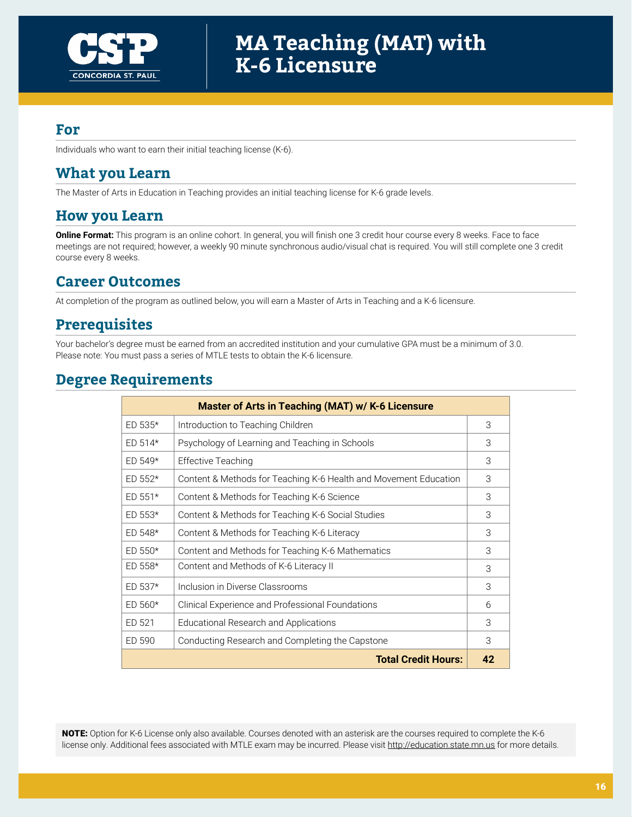

Individuals who want to earn their initial teaching license (K-6).

### **What you Learn**

The Master of Arts in Education in Teaching provides an initial teaching license for K-6 grade levels.

### **How you Learn**

**Online Format:** This program is an online cohort. In general, you will finish one 3 credit hour course every 8 weeks. Face to face meetings are not required; however, a weekly 90 minute synchronous audio/visual chat is required. You will still complete one 3 credit course every 8 weeks.

## **Career Outcomes**

At completion of the program as outlined below, you will earn a Master of Arts in Teaching and a K-6 licensure.

## **Prerequisites**

Your bachelor's degree must be earned from an accredited institution and your cumulative GPA must be a minimum of 3.0. Please note: You must pass a series of MTLE tests to obtain the K-6 licensure.

### **Degree Requirements**

| Master of Arts in Teaching (MAT) w/ K-6 Licensure |                                                                  |    |  |  |
|---------------------------------------------------|------------------------------------------------------------------|----|--|--|
| $ED 535*$                                         | Introduction to Teaching Children                                |    |  |  |
| $ED 514*$                                         | Psychology of Learning and Teaching in Schools                   | 3  |  |  |
| $FD 549*$                                         | <b>Effective Teaching</b>                                        | 3  |  |  |
| $ED 552*$                                         | Content & Methods for Teaching K-6 Health and Movement Education | 3  |  |  |
| $ED 551*$                                         | Content & Methods for Teaching K-6 Science                       | 3  |  |  |
| $ED 553*$                                         | Content & Methods for Teaching K-6 Social Studies                | 3  |  |  |
| $ED 548*$                                         | Content & Methods for Teaching K-6 Literacy                      | 3  |  |  |
| $ED 550*$                                         | Content and Methods for Teaching K-6 Mathematics                 | 3  |  |  |
| $ED 558*$                                         | Content and Methods of K-6 Literacy II                           | 3  |  |  |
| $ED 537*$                                         | Inclusion in Diverse Classrooms                                  | 3  |  |  |
| $ED 560*$                                         | Clinical Experience and Professional Foundations                 | 6  |  |  |
| ED 521                                            | Educational Research and Applications                            | 3  |  |  |
| ED 590                                            | Conducting Research and Completing the Capstone                  | 3  |  |  |
|                                                   | <b>Total Credit Hours:</b>                                       | 42 |  |  |

NOTE: Option for K-6 License only also available. Courses denoted with an asterisk are the courses required to complete the K-6 license only. Additional fees associated with MTLE exam may be incurred. Please visit <http://education.state.mn.us>for more details.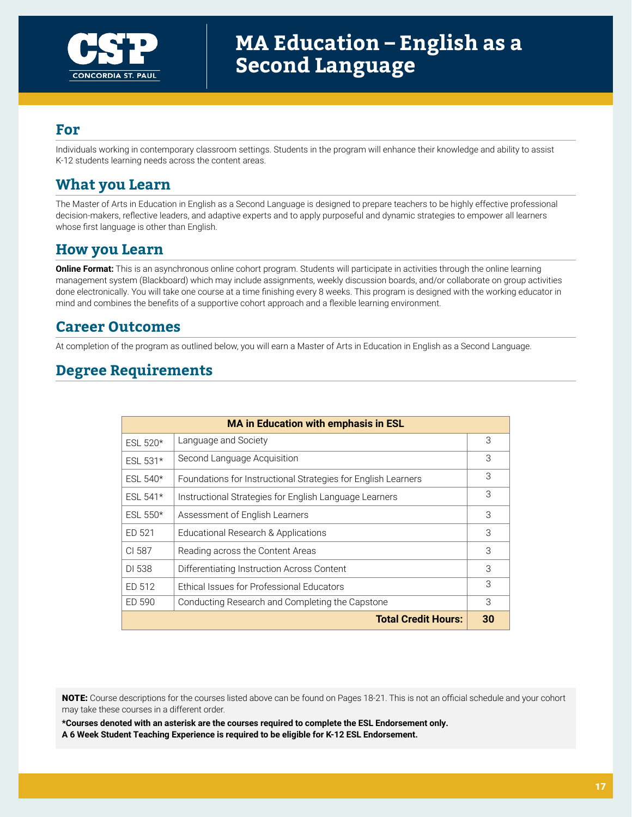

Individuals working in contemporary classroom settings. Students in the program will enhance their knowledge and ability to assist K-12 students learning needs across the content areas.

## **What you Learn**

The Master of Arts in Education in English as a Second Language is designed to prepare teachers to be highly effective professional decision-makers, reflective leaders, and adaptive experts and to apply purposeful and dynamic strategies to empower all learners whose first language is other than English.

### **How you Learn**

**Online Format:** This is an asynchronous online cohort program. Students will participate in activities through the online learning management system (Blackboard) which may include assignments, weekly discussion boards, and/or collaborate on group activities done electronically. You will take one course at a time finishing every 8 weeks. This program is designed with the working educator in mind and combines the benefits of a supportive cohort approach and a flexible learning environment.

## **Career Outcomes**

At completion of the program as outlined below, you will earn a Master of Arts in Education in English as a Second Language.

## **Degree Requirements**

| <b>MA in Education with emphasis in ESL</b> |                                                               |    |  |  |  |
|---------------------------------------------|---------------------------------------------------------------|----|--|--|--|
| ESL $520*$                                  | Language and Society                                          |    |  |  |  |
| ESL $531*$                                  | Second Language Acquisition                                   |    |  |  |  |
| ESL $540*$                                  | Foundations for Instructional Strategies for English Learners |    |  |  |  |
| ESL $541*$                                  | Instructional Strategies for English Language Learners        | 3  |  |  |  |
| ESL 550*                                    | Assessment of English Learners                                | 3  |  |  |  |
| ED 521                                      | Educational Research & Applications                           | 3  |  |  |  |
| CI 587                                      | Reading across the Content Areas                              | 3  |  |  |  |
| DI 538                                      | Differentiating Instruction Across Content                    |    |  |  |  |
| ED 512                                      | Ethical Issues for Professional Educators                     |    |  |  |  |
| ED 590                                      | Conducting Research and Completing the Capstone               |    |  |  |  |
|                                             | <b>Total Credit Hours:</b>                                    | 30 |  |  |  |

NOTE: Course descriptions for the courses listed above can be found on Pages 18-21. This is not an official schedule and your cohort may take these courses in a different order.

**\*Courses denoted with an asterisk are the courses required to complete the ESL Endorsement only. A 6 Week Student Teaching Experience is required to be eligible for K-12 ESL Endorsement.**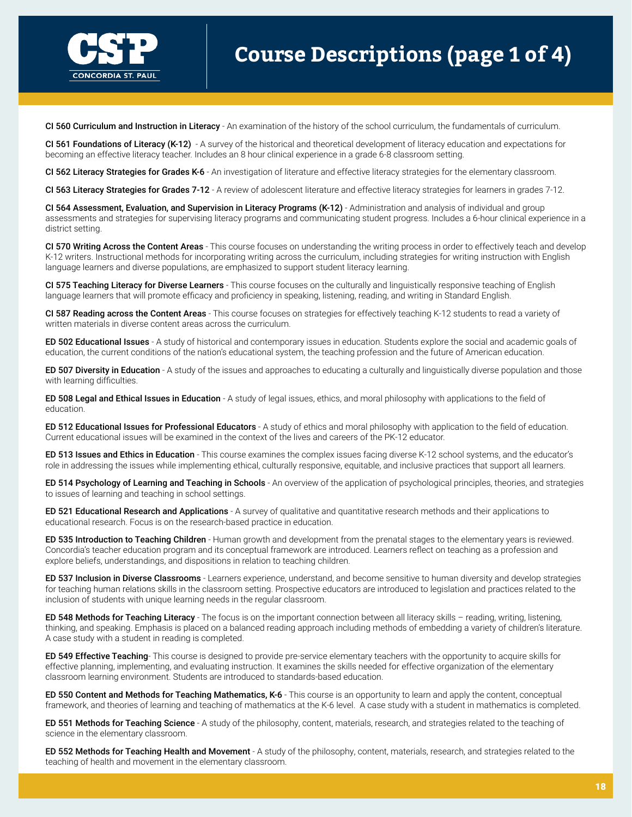

# **Course Descriptions (page 1 of 4)**

CI 560 Curriculum and Instruction in Literacy - An examination of the history of the school curriculum, the fundamentals of curriculum.

CI 561 Foundations of Literacy (K-12) - A survey of the historical and theoretical development of literacy education and expectations for becoming an effective literacy teacher. Includes an 8 hour clinical experience in a grade 6-8 classroom setting.

CI 562 Literacy Strategies for Grades K-6 - An investigation of literature and effective literacy strategies for the elementary classroom.

CI 563 Literacy Strategies for Grades 7-12 - A review of adolescent literature and effective literacy strategies for learners in grades 7-12.

CI 564 Assessment, Evaluation, and Supervision in Literacy Programs (K-12) - Administration and analysis of individual and group assessments and strategies for supervising literacy programs and communicating student progress. Includes a 6-hour clinical experience in a district setting.

CI 570 Writing Across the Content Areas - This course focuses on understanding the writing process in order to effectively teach and develop K-12 writers. Instructional methods for incorporating writing across the curriculum, including strategies for writing instruction with English language learners and diverse populations, are emphasized to support student literacy learning.

CI 575 Teaching Literacy for Diverse Learners - This course focuses on the culturally and linguistically responsive teaching of English language learners that will promote efficacy and proficiency in speaking, listening, reading, and writing in Standard English.

CI 587 Reading across the Content Areas - This course focuses on strategies for effectively teaching K-12 students to read a variety of written materials in diverse content areas across the curriculum.

ED 502 Educational Issues - A study of historical and contemporary issues in education. Students explore the social and academic goals of education, the current conditions of the nation's educational system, the teaching profession and the future of American education.

ED 507 Diversity in Education - A study of the issues and approaches to educating a culturally and linguistically diverse population and those with learning difficulties.

ED 508 Legal and Ethical Issues in Education - A study of legal issues, ethics, and moral philosophy with applications to the field of education.

ED 512 Educational Issues for Professional Educators - A study of ethics and moral philosophy with application to the field of education. Current educational issues will be examined in the context of the lives and careers of the PK-12 educator.

ED 513 Issues and Ethics in Education - This course examines the complex issues facing diverse K-12 school systems, and the educator's role in addressing the issues while implementing ethical, culturally responsive, equitable, and inclusive practices that support all learners.

ED 514 Psychology of Learning and Teaching in Schools - An overview of the application of psychological principles, theories, and strategies to issues of learning and teaching in school settings.

ED 521 Educational Research and Applications - A survey of qualitative and quantitative research methods and their applications to educational research. Focus is on the research-based practice in education.

ED 535 Introduction to Teaching Children - Human growth and development from the prenatal stages to the elementary years is reviewed. Concordia's teacher education program and its conceptual framework are introduced. Learners reflect on teaching as a profession and explore beliefs, understandings, and dispositions in relation to teaching children.

ED 537 Inclusion in Diverse Classrooms - Learners experience, understand, and become sensitive to human diversity and develop strategies for teaching human relations skills in the classroom setting. Prospective educators are introduced to legislation and practices related to the inclusion of students with unique learning needs in the regular classroom.

ED 548 Methods for Teaching Literacy - The focus is on the important connection between all literacy skills - reading, writing, listening, thinking, and speaking. Emphasis is placed on a balanced reading approach including methods of embedding a variety of children's literature. A case study with a student in reading is completed.

**ED 549 Effective Teaching**- This course is designed to provide pre-service elementary teachers with the opportunity to acquire skills for effective planning, implementing, and evaluating instruction. It examines the skills needed for effective organization of the elementary classroom learning environment. Students are introduced to standards-based education.

ED 550 Content and Methods for Teaching Mathematics, K-6 - This course is an opportunity to learn and apply the content, conceptual framework, and theories of learning and teaching of mathematics at the K-6 level. A case study with a student in mathematics is completed.

ED 551 Methods for Teaching Science - A study of the philosophy, content, materials, research, and strategies related to the teaching of science in the elementary classroom.

ED 552 Methods for Teaching Health and Movement - A study of the philosophy, content, materials, research, and strategies related to the teaching of health and movement in the elementary classroom.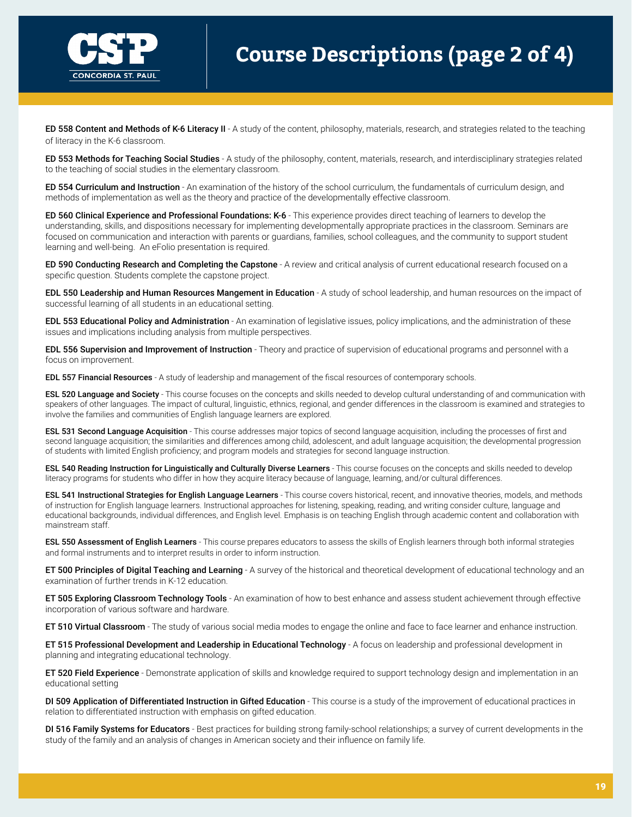

# **Course Descriptions (page 2 of 4)**

ED 558 Content and Methods of K-6 Literacy II - A study of the content, philosophy, materials, research, and strategies related to the teaching of literacy in the K-6 classroom.

ED 553 Methods for Teaching Social Studies - A study of the philosophy, content, materials, research, and interdisciplinary strategies related to the teaching of social studies in the elementary classroom.

ED 554 Curriculum and Instruction - An examination of the history of the school curriculum, the fundamentals of curriculum design, and methods of implementation as well as the theory and practice of the developmentally effective classroom.

ED 560 Clinical Experience and Professional Foundations: K-6 - This experience provides direct teaching of learners to develop the understanding, skills, and dispositions necessary for implementing developmentally appropriate practices in the classroom. Seminars are focused on communication and interaction with parents or guardians, families, school colleagues, and the community to support student learning and well-being. An eFolio presentation is required.

ED 590 Conducting Research and Completing the Capstone - A review and critical analysis of current educational research focused on a specific question. Students complete the capstone project.

EDL 550 Leadership and Human Resources Mangement in Education - A study of school leadership, and human resources on the impact of successful learning of all students in an educational setting.

EDL 553 Educational Policy and Administration - An examination of legislative issues, policy implications, and the administration of these issues and implications including analysis from multiple perspectives.

EDL 556 Supervision and Improvement of Instruction - Theory and practice of supervision of educational programs and personnel with a focus on improvement.

**EDL 557 Financial Resources** - A study of leadership and management of the fiscal resources of contemporary schools.

ESL 520 Language and Society - This course focuses on the concepts and skills needed to develop cultural understanding of and communication with speakers of other languages. The impact of cultural, linguistic, ethnics, regional, and gender differences in the classroom is examined and strategies to involve the families and communities of English language learners are explored.

ESL 531 Second Language Acquisition - This course addresses major topics of second language acquisition, including the processes of first and second language acquisition; the similarities and differences among child, adolescent, and adult language acquisition; the developmental progression of students with limited English proficiency; and program models and strategies for second language instruction.

ESL 540 Reading Instruction for Linguistically and Culturally Diverse Learners - This course focuses on the concepts and skills needed to develop literacy programs for students who differ in how they acquire literacy because of language, learning, and/or cultural differences.

ESL 541 Instructional Strategies for English Language Learners - This course covers historical, recent, and innovative theories, models, and methods of instruction for English language learners. Instructional approaches for listening, speaking, reading, and writing consider culture, language and educational backgrounds, individual differences, and English level. Emphasis is on teaching English through academic content and collaboration with mainstream staff.

**ESL 550 Assessment of English Learners** - This course prepares educators to assess the skills of English learners through both informal strategies and formal instruments and to interpret results in order to inform instruction.

ET 500 Principles of Digital Teaching and Learning - A survey of the historical and theoretical development of educational technology and an examination of further trends in K-12 education.

ET 505 Exploring Classroom Technology Tools - An examination of how to best enhance and assess student achievement through effective incorporation of various software and hardware.

ET 510 Virtual Classroom - The study of various social media modes to engage the online and face to face learner and enhance instruction.

ET 515 Professional Development and Leadership in Educational Technology - A focus on leadership and professional development in planning and integrating educational technology.

ET 520 Field Experience - Demonstrate application of skills and knowledge required to support technology design and implementation in an educational setting

DI 509 Application of Differentiated Instruction in Gifted Education - This course is a study of the improvement of educational practices in relation to differentiated instruction with emphasis on gifted education.

DI 516 Family Systems for Educators - Best practices for building strong family-school relationships; a survey of current developments in the study of the family and an analysis of changes in American society and their influence on family life.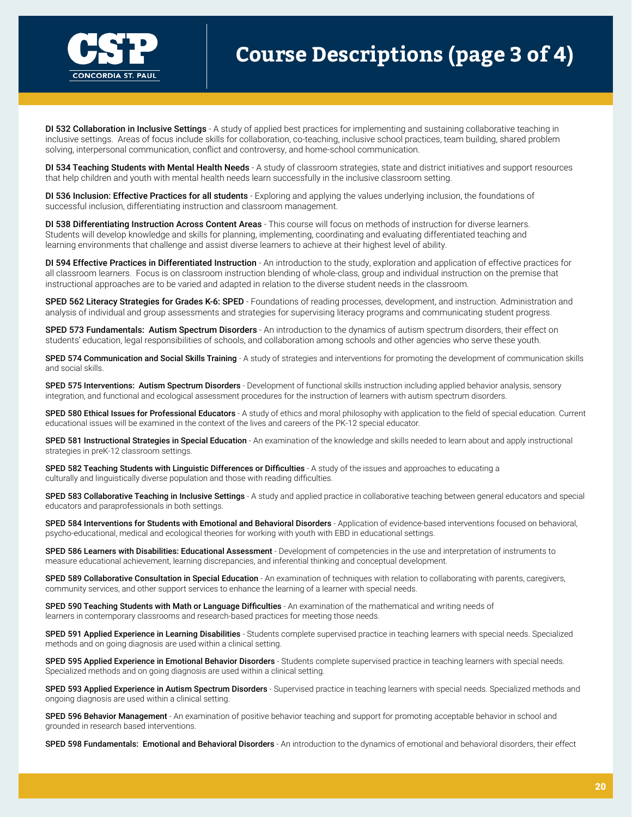

# **Course Descriptions (page 3 of 4)**

DI 532 Collaboration in Inclusive Settings - A study of applied best practices for implementing and sustaining collaborative teaching in inclusive settings. Areas of focus include skills for collaboration, co-teaching, inclusive school practices, team building, shared problem solving, interpersonal communication, conflict and controversy, and home-school communication.

DI 534 Teaching Students with Mental Health Needs - A study of classroom strategies, state and district initiatives and support resources that help children and youth with mental health needs learn successfully in the inclusive classroom setting.

DI 536 Inclusion: Effective Practices for all students - Exploring and applying the values underlying inclusion, the foundations of successful inclusion, differentiating instruction and classroom management.

DI 538 Differentiating Instruction Across Content Areas - This course will focus on methods of instruction for diverse learners. Students will develop knowledge and skills for planning, implementing, coordinating and evaluating differentiated teaching and learning environments that challenge and assist diverse learners to achieve at their highest level of ability.

DI 594 Effective Practices in Differentiated Instruction - An introduction to the study, exploration and application of effective practices for all classroom learners. Focus is on classroom instruction blending of whole-class, group and individual instruction on the premise that instructional approaches are to be varied and adapted in relation to the diverse student needs in the classroom.

SPED 562 Literacy Strategies for Grades K-6: SPED - Foundations of reading processes, development, and instruction. Administration and analysis of individual and group assessments and strategies for supervising literacy programs and communicating student progress.

SPED 573 Fundamentals: Autism Spectrum Disorders - An introduction to the dynamics of autism spectrum disorders, their effect on students' education, legal responsibilities of schools, and collaboration among schools and other agencies who serve these youth.

SPED 574 Communication and Social Skills Training - A study of strategies and interventions for promoting the development of communication skills and social skills.

SPED 575 Interventions: Autism Spectrum Disorders - Development of functional skills instruction including applied behavior analysis, sensory integration, and functional and ecological assessment procedures for the instruction of learners with autism spectrum disorders.

SPED 580 Ethical Issues for Professional Educators - A study of ethics and moral philosophy with application to the field of special education. Current educational issues will be examined in the context of the lives and careers of the PK-12 special educator.

SPED 581 Instructional Strategies in Special Education - An examination of the knowledge and skills needed to learn about and apply instructional strategies in preK-12 classroom settings.

SPED 582 Teaching Students with Linguistic Differences or Difficulties - A study of the issues and approaches to educating a culturally and linguistically diverse population and those with reading difficulties.

SPED 583 Collaborative Teaching in Inclusive Settings - A study and applied practice in collaborative teaching between general educators and special educators and paraprofessionals in both settings.

SPED 584 Interventions for Students with Emotional and Behavioral Disorders - Application of evidence-based interventions focused on behavioral, psycho-educational, medical and ecological theories for working with youth with EBD in educational settings.

SPED 586 Learners with Disabilities: Educational Assessment - Development of competencies in the use and interpretation of instruments to measure educational achievement, learning discrepancies, and inferential thinking and conceptual development.

SPED 589 Collaborative Consultation in Special Education - An examination of techniques with relation to collaborating with parents, caregivers, community services, and other support services to enhance the learning of a learner with special needs.

SPED 590 Teaching Students with Math or Language Difficulties - An examination of the mathematical and writing needs of learners in contemporary classrooms and research-based practices for meeting those needs.

SPED 591 Applied Experience in Learning Disabilities - Students complete supervised practice in teaching learners with special needs. Specialized methods and on going diagnosis are used within a clinical setting.

SPED 595 Applied Experience in Emotional Behavior Disorders - Students complete supervised practice in teaching learners with special needs. Specialized methods and on going diagnosis are used within a clinical setting.

SPED 593 Applied Experience in Autism Spectrum Disorders - Supervised practice in teaching learners with special needs. Specialized methods and ongoing diagnosis are used within a clinical setting.

SPED 596 Behavior Management - An examination of positive behavior teaching and support for promoting acceptable behavior in school and grounded in research based interventions.

SPED 598 Fundamentals: Emotional and Behavioral Disorders - An introduction to the dynamics of emotional and behavioral disorders, their effect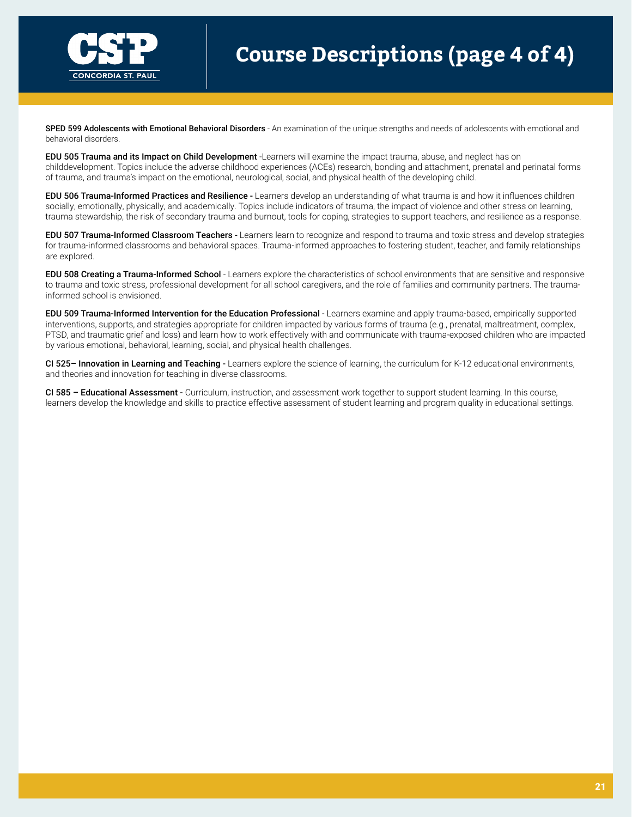

# **Course Descriptions (page 4 of 4)**

SPED 599 Adolescents with Emotional Behavioral Disorders - An examination of the unique strengths and needs of adolescents with emotional and behavioral disorders.

EDU 505 Trauma and its Impact on Child Development -Learners will examine the impact trauma, abuse, and neglect has on childdevelopment. Topics include the adverse childhood experiences (ACEs) research, bonding and attachment, prenatal and perinatal forms of trauma, and trauma's impact on the emotional, neurological, social, and physical health of the developing child.

EDU 506 Trauma-Informed Practices and Resilience - Learners develop an understanding of what trauma is and how it influences children socially, emotionally, physically, and academically. Topics include indicators of trauma, the impact of violence and other stress on learning, trauma stewardship, the risk of secondary trauma and burnout, tools for coping, strategies to support teachers, and resilience as a response.

EDU 507 Trauma-Informed Classroom Teachers - Learners learn to recognize and respond to trauma and toxic stress and develop strategies for trauma-informed classrooms and behavioral spaces. Trauma-informed approaches to fostering student, teacher, and family relationships are explored.

EDU 508 Creating a Trauma-Informed School - Learners explore the characteristics of school environments that are sensitive and responsive to trauma and toxic stress, professional development for all school caregivers, and the role of families and community partners. The traumainformed school is envisioned.

EDU 509 Trauma-Informed Intervention for the Education Professional - Learners examine and apply trauma-based, empirically supported interventions, supports, and strategies appropriate for children impacted by various forms of trauma (e.g., prenatal, maltreatment, complex, PTSD, and traumatic grief and loss) and learn how to work effectively with and communicate with trauma-exposed children who are impacted by various emotional, behavioral, learning, social, and physical health challenges.

CI 525- Innovation in Learning and Teaching - Learners explore the science of learning, the curriculum for K-12 educational environments, and theories and innovation for teaching in diverse classrooms.

CI 585 – Educational Assessment - Curriculum, instruction, and assessment work together to support student learning. In this course, learners develop the knowledge and skills to practice effective assessment of student learning and program quality in educational settings.